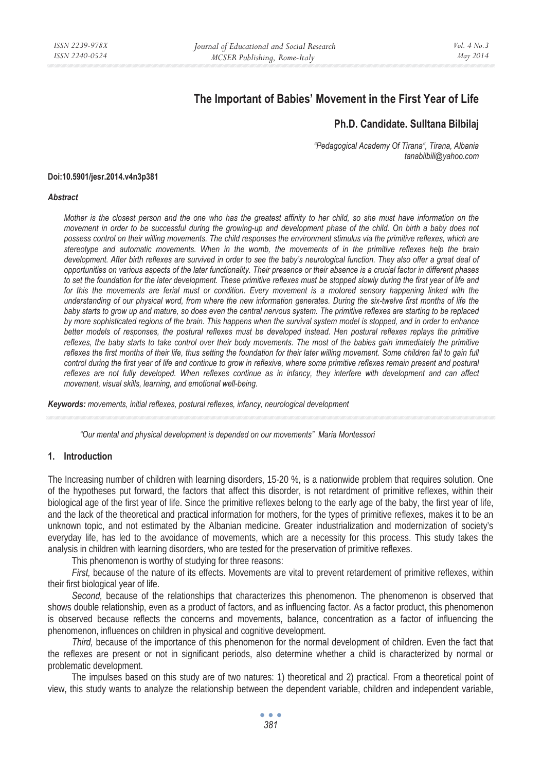# **The Important of Babies' Movement in the First Year of Life**

# **Ph.D. Candidate. Sulltana Bilbilaj**

*"Pedagogical Academy Of Tirana", Tirana, Albania tanabilbili@yahoo.com* 

#### **Doi:10.5901/jesr.2014.v4n3p381**

#### *Abstract*

*Mother is the closest person and the one who has the greatest affinity to her child, so she must have information on the movement in order to be successful during the growing-up and development phase of the child. On birth a baby does not possess control on their willing movements. The child responses the environment stimulus via the primitive reflexes, which are stereotype and automatic movements. When in the womb, the movements of in the primitive reflexes help the brain development. After birth reflexes are survived in order to see the baby's neurological function. They also offer a great deal of opportunities on various aspects of the later functionality. Their presence or their absence is a crucial factor in different phases to set the foundation for the later development. These primitive reflexes must be stopped slowly during the first year of life and*  for this the movements are ferial must or condition. Every movement is a motored sensory happening linked with the *understanding of our physical word, from where the new information generates. During the six-twelve first months of life the baby starts to grow up and mature, so does even the central nervous system. The primitive reflexes are starting to be replaced by more sophisticated regions of the brain. This happens when the survival system model is stopped, and in order to enhance better models of responses, the postural reflexes must be developed instead. Hen postural reflexes replays the primitive reflexes, the baby starts to take control over their body movements. The most of the babies gain immediately the primitive* reflexes the first months of their life, thus setting the foundation for their later willing movement. Some children fail to gain full *control during the first year of life and continue to grow in reflexive, where some primitive reflexes remain present and postural reflexes are not fully developed. When reflexes continue as in infancy, they interfere with development and can affect movement, visual skills, learning, and emotional well-being.* 

*Keywords: movements, initial reflexes, postural reflexes, infancy, neurological development* 

*"Our mental and physical development is depended on our movements" Maria Montessori* 

### **1. Introduction**

The Increasing number of children with learning disorders, 15-20 %, is a nationwide problem that requires solution. One of the hypotheses put forward, the factors that affect this disorder, is not retardment of primitive reflexes, within their biological age of the first year of life. Since the primitive reflexes belong to the early age of the baby, the first year of life, and the lack of the theoretical and practical information for mothers, for the types of primitive reflexes, makes it to be an unknown topic, and not estimated by the Albanian medicine. Greater industrialization and modernization of society's everyday life, has led to the avoidance of movements, which are a necessity for this process. This study takes the analysis in children with learning disorders, who are tested for the preservation of primitive reflexes.

This phenomenon is worthy of studying for three reasons:

*First,* because of the nature of its effects. Movements are vital to prevent retardement of primitive reflexes, within their first biological year of life.

*Second,* because of the relationships that characterizes this phenomenon. The phenomenon is observed that shows double relationship, even as a product of factors, and as influencing factor. As a factor product, this phenomenon is observed because reflects the concerns and movements, balance, concentration as a factor of influencing the phenomenon, influences on children in physical and cognitive development.

*Third,* because of the importance of this phenomenon for the normal development of children. Even the fact that the reflexes are present or not in significant periods, also determine whether a child is characterized by normal or problematic development.

The impulses based on this study are of two natures: 1) theoretical and 2) practical. From a theoretical point of view, this study wants to analyze the relationship between the dependent variable, children and independent variable,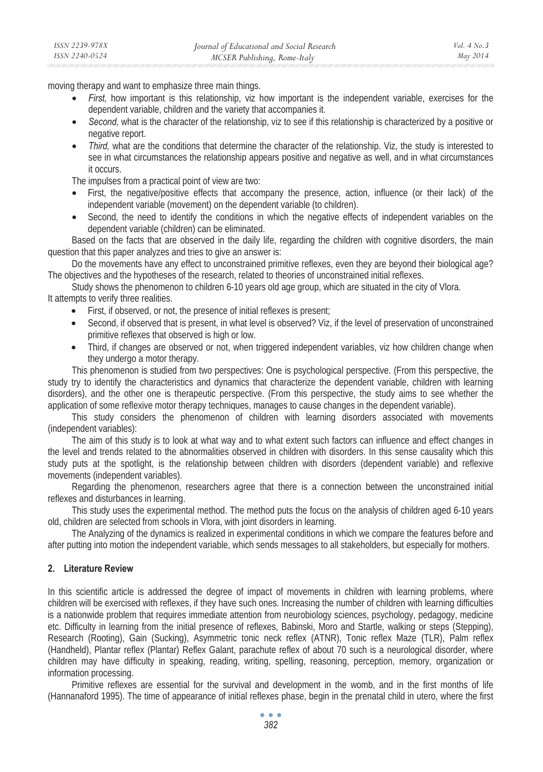moving therapy and want to emphasize three main things.

- *First,* how important is this relationship, viz how important is the independent variable, exercises for the dependent variable, children and the variety that accompanies it.
- *Second,* what is the character of the relationship, viz to see if this relationship is characterized by a positive or negative report.
- *Third,* what are the conditions that determine the character of the relationship. Viz, the study is interested to see in what circumstances the relationship appears positive and negative as well, and in what circumstances it occurs.

The impulses from a practical point of view are two:

- First, the negative/positive effects that accompany the presence, action, influence (or their lack) of the independent variable (movement) on the dependent variable (to children).
- Second, the need to identify the conditions in which the negative effects of independent variables on the dependent variable (children) can be eliminated.

Based on the facts that are observed in the daily life, regarding the children with cognitive disorders, the main question that this paper analyzes and tries to give an answer is:

Do the movements have any effect to unconstrained primitive reflexes, even they are beyond their biological age? The objectives and the hypotheses of the research, related to theories of unconstrained initial reflexes.

Study shows the phenomenon to children 6-10 years old age group, which are situated in the city of Vlora. It attempts to verify three realities.

- First, if observed, or not, the presence of initial reflexes is present;
- Second, if observed that is present, in what level is observed? Viz, if the level of preservation of unconstrained primitive reflexes that observed is high or low.
- Third, if changes are observed or not, when triggered independent variables, viz how children change when they undergo a motor therapy.

This phenomenon is studied from two perspectives: One is psychological perspective. (From this perspective, the study try to identify the characteristics and dynamics that characterize the dependent variable, children with learning disorders), and the other one is therapeutic perspective. (From this perspective, the study aims to see whether the application of some reflexive motor therapy techniques, manages to cause changes in the dependent variable).

This study considers the phenomenon of children with learning disorders associated with movements (independent variables):

The aim of this study is to look at what way and to what extent such factors can influence and effect changes in the level and trends related to the abnormalities observed in children with disorders. In this sense causality which this study puts at the spotlight, is the relationship between children with disorders (dependent variable) and reflexive movements (independent variables).

Regarding the phenomenon, researchers agree that there is a connection between the unconstrained initial reflexes and disturbances in learning.

This study uses the experimental method. The method puts the focus on the analysis of children aged 6-10 years old, children are selected from schools in Vlora, with joint disorders in learning.

The Analyzing of the dynamics is realized in experimental conditions in which we compare the features before and after putting into motion the independent variable, which sends messages to all stakeholders, but especially for mothers.

### **2. Literature Review**

In this scientific article is addressed the degree of impact of movements in children with learning problems, where children will be exercised with reflexes, if they have such ones. Increasing the number of children with learning difficulties is a nationwide problem that requires immediate attention from neurobiology sciences, psychology, pedagogy, medicine etc. Difficulty in learning from the initial presence of reflexes, Babinski, Moro and Startle, walking or steps (Stepping), Research (Rooting), Gain (Sucking), Asymmetric tonic neck reflex (ATNR), Tonic reflex Maze (TLR), Palm reflex (Handheld), Plantar reflex (Plantar) Reflex Galant, parachute reflex of about 70 such is a neurological disorder, where children may have difficulty in speaking, reading, writing, spelling, reasoning, perception, memory, organization or information processing.

Primitive reflexes are essential for the survival and development in the womb, and in the first months of life (Hannanaford 1995). The time of appearance of initial reflexes phase, begin in the prenatal child in utero, where the first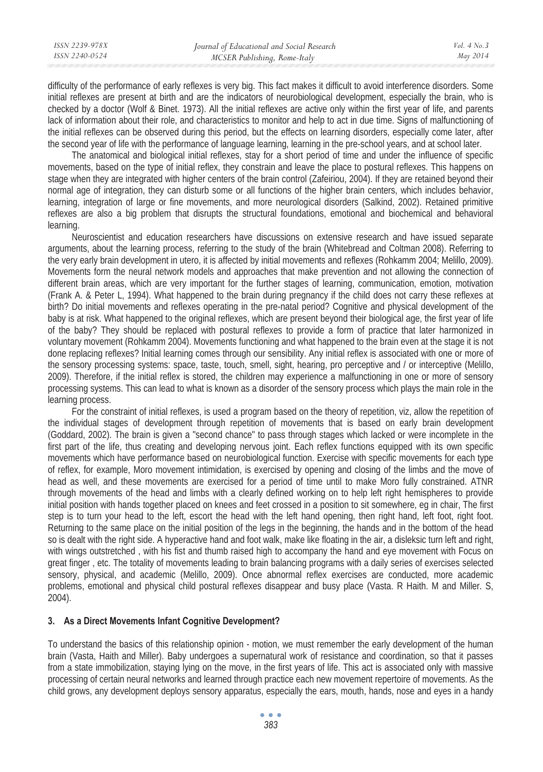| ISSN 2239-978X | Journal of Educational and Social Research | Vol. $4$ No. $3$ |
|----------------|--------------------------------------------|------------------|
| ISSN 2240-0524 | MCSER Publishing, Rome-Italy               | May 2014         |
|                |                                            |                  |

difficulty of the performance of early reflexes is very big. This fact makes it difficult to avoid interference disorders. Some initial reflexes are present at birth and are the indicators of neurobiological development, especially the brain, who is checked by a doctor (Wolf & Binet. 1973). All the initial reflexes are active only within the first year of life, and parents lack of information about their role, and characteristics to monitor and help to act in due time. Signs of malfunctioning of the initial reflexes can be observed during this period, but the effects on learning disorders, especially come later, after the second year of life with the performance of language learning, learning in the pre-school years, and at school later.

The anatomical and biological initial reflexes, stay for a short period of time and under the influence of specific movements, based on the type of initial reflex, they constrain and leave the place to postural reflexes. This happens on stage when they are integrated with higher centers of the brain control (Zafeiriou, 2004). If they are retained beyond their normal age of integration, they can disturb some or all functions of the higher brain centers, which includes behavior, learning, integration of large or fine movements, and more neurological disorders (Salkind, 2002). Retained primitive reflexes are also a big problem that disrupts the structural foundations, emotional and biochemical and behavioral learning.

Neuroscientist and education researchers have discussions on extensive research and have issued separate arguments, about the learning process, referring to the study of the brain (Whitebread and Coltman 2008). Referring to the very early brain development in utero, it is affected by initial movements and reflexes (Rohkamm 2004; Melillo, 2009). Movements form the neural network models and approaches that make prevention and not allowing the connection of different brain areas, which are very important for the further stages of learning, communication, emotion, motivation (Frank A. & Peter L, 1994). What happened to the brain during pregnancy if the child does not carry these reflexes at birth? Do initial movements and reflexes operating in the pre-natal period? Cognitive and physical development of the baby is at risk. What happened to the original reflexes, which are present beyond their biological age, the first year of life of the baby? They should be replaced with postural reflexes to provide a form of practice that later harmonized in voluntary movement (Rohkamm 2004). Movements functioning and what happened to the brain even at the stage it is not done replacing reflexes? Initial learning comes through our sensibility. Any initial reflex is associated with one or more of the sensory processing systems: space, taste, touch, smell, sight, hearing, pro perceptive and / or interceptive (Melillo, 2009). Therefore, if the initial reflex is stored, the children may experience a malfunctioning in one or more of sensory processing systems. This can lead to what is known as a disorder of the sensory process which plays the main role in the learning process.

For the constraint of initial reflexes, is used a program based on the theory of repetition, viz, allow the repetition of the individual stages of development through repetition of movements that is based on early brain development (Goddard, 2002). The brain is given a "second chance" to pass through stages which lacked or were incomplete in the first part of the life, thus creating and developing nervous joint. Each reflex functions equipped with its own specific movements which have performance based on neurobiological function. Exercise with specific movements for each type of reflex, for example, Moro movement intimidation, is exercised by opening and closing of the limbs and the move of head as well, and these movements are exercised for a period of time until to make Moro fully constrained. ATNR through movements of the head and limbs with a clearly defined working on to help left right hemispheres to provide initial position with hands together placed on knees and feet crossed in a position to sit somewhere, eg in chair, The first step is to turn your head to the left, escort the head with the left hand opening, then right hand, left foot, right foot. Returning to the same place on the initial position of the legs in the beginning, the hands and in the bottom of the head so is dealt with the right side. A hyperactive hand and foot walk, make like floating in the air, a disleksic turn left and right, with wings outstretched , with his fist and thumb raised high to accompany the hand and eye movement with Focus on great finger , etc. The totality of movements leading to brain balancing programs with a daily series of exercises selected sensory, physical, and academic (Melillo, 2009). Once abnormal reflex exercises are conducted, more academic problems, emotional and physical child postural reflexes disappear and busy place (Vasta. R Haith. M and Miller. S, 2004).

### **3. As a Direct Movements Infant Cognitive Development?**

To understand the basics of this relationship opinion - motion, we must remember the early development of the human brain (Vasta, Haith and Miller). Baby undergoes a supernatural work of resistance and coordination, so that it passes from a state immobilization, staying lying on the move, in the first years of life. This act is associated only with massive processing of certain neural networks and learned through practice each new movement repertoire of movements. As the child grows, any development deploys sensory apparatus, especially the ears, mouth, hands, nose and eyes in a handy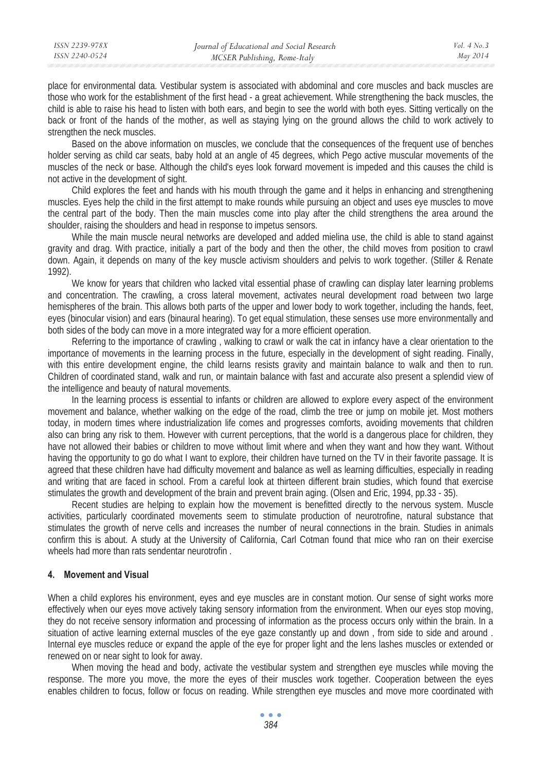place for environmental data. Vestibular system is associated with abdominal and core muscles and back muscles are those who work for the establishment of the first head - a great achievement. While strengthening the back muscles, the child is able to raise his head to listen with both ears, and begin to see the world with both eyes. Sitting vertically on the back or front of the hands of the mother, as well as staying lying on the ground allows the child to work actively to strengthen the neck muscles.

Based on the above information on muscles, we conclude that the consequences of the frequent use of benches holder serving as child car seats, baby hold at an angle of 45 degrees, which Pego active muscular movements of the muscles of the neck or base. Although the child's eyes look forward movement is impeded and this causes the child is not active in the development of sight.

Child explores the feet and hands with his mouth through the game and it helps in enhancing and strengthening muscles. Eyes help the child in the first attempt to make rounds while pursuing an object and uses eye muscles to move the central part of the body. Then the main muscles come into play after the child strengthens the area around the shoulder, raising the shoulders and head in response to impetus sensors.

While the main muscle neural networks are developed and added mielina use, the child is able to stand against gravity and drag. With practice, initially a part of the body and then the other, the child moves from position to crawl down. Again, it depends on many of the key muscle activism shoulders and pelvis to work together. (Stiller & Renate 1992).

We know for years that children who lacked vital essential phase of crawling can display later learning problems and concentration. The crawling, a cross lateral movement, activates neural development road between two large hemispheres of the brain. This allows both parts of the upper and lower body to work together, including the hands, feet, eyes (binocular vision) and ears (binaural hearing). To get equal stimulation, these senses use more environmentally and both sides of the body can move in a more integrated way for a more efficient operation.

Referring to the importance of crawling , walking to crawl or walk the cat in infancy have a clear orientation to the importance of movements in the learning process in the future, especially in the development of sight reading. Finally, with this entire development engine, the child learns resists gravity and maintain balance to walk and then to run. Children of coordinated stand, walk and run, or maintain balance with fast and accurate also present a splendid view of the intelligence and beauty of natural movements.

In the learning process is essential to infants or children are allowed to explore every aspect of the environment movement and balance, whether walking on the edge of the road, climb the tree or jump on mobile jet. Most mothers today, in modern times where industrialization life comes and progresses comforts, avoiding movements that children also can bring any risk to them. However with current perceptions, that the world is a dangerous place for children, they have not allowed their babies or children to move without limit where and when they want and how they want. Without having the opportunity to go do what I want to explore, their children have turned on the TV in their favorite passage. It is agreed that these children have had difficulty movement and balance as well as learning difficulties, especially in reading and writing that are faced in school. From a careful look at thirteen different brain studies, which found that exercise stimulates the growth and development of the brain and prevent brain aging. (Olsen and Eric, 1994, pp.33 - 35).

Recent studies are helping to explain how the movement is benefitted directly to the nervous system. Muscle activities, particularly coordinated movements seem to stimulate production of neurotrofine, natural substance that stimulates the growth of nerve cells and increases the number of neural connections in the brain. Studies in animals confirm this is about. A study at the University of California, Carl Cotman found that mice who ran on their exercise wheels had more than rats sendentar neurotrofin .

### **4. Movement and Visual**

When a child explores his environment, eyes and eye muscles are in constant motion. Our sense of sight works more effectively when our eyes move actively taking sensory information from the environment. When our eyes stop moving, they do not receive sensory information and processing of information as the process occurs only within the brain. In a situation of active learning external muscles of the eye gaze constantly up and down , from side to side and around . Internal eye muscles reduce or expand the apple of the eye for proper light and the lens lashes muscles or extended or renewed on or near sight to look for away.

When moving the head and body, activate the vestibular system and strengthen eye muscles while moving the response. The more you move, the more the eyes of their muscles work together. Cooperation between the eyes enables children to focus, follow or focus on reading. While strengthen eye muscles and move more coordinated with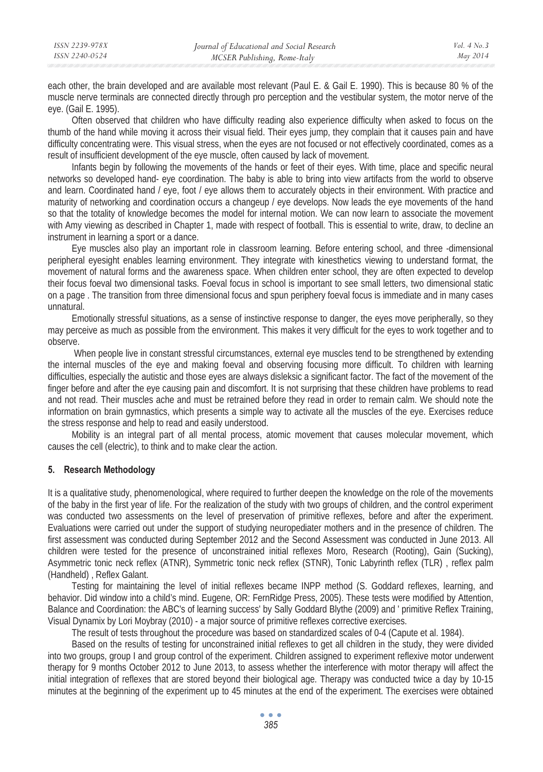| ISSN 2239-978X | Journal of Educational and Social Research | Vol. $4$ No. $3$ |
|----------------|--------------------------------------------|------------------|
| ISSN 2240-0524 | MCSER Publishing, Rome-Italy               | May 2014         |
|                |                                            |                  |

each other, the brain developed and are available most relevant (Paul E. & Gail E. 1990). This is because 80 % of the muscle nerve terminals are connected directly through pro perception and the vestibular system, the motor nerve of the eye. (Gail E. 1995).

Often observed that children who have difficulty reading also experience difficulty when asked to focus on the thumb of the hand while moving it across their visual field. Their eyes jump, they complain that it causes pain and have difficulty concentrating were. This visual stress, when the eyes are not focused or not effectively coordinated, comes as a result of insufficient development of the eye muscle, often caused by lack of movement.

Infants begin by following the movements of the hands or feet of their eyes. With time, place and specific neural networks so developed hand- eye coordination. The baby is able to bring into view artifacts from the world to observe and learn. Coordinated hand / eye, foot / eye allows them to accurately objects in their environment. With practice and maturity of networking and coordination occurs a changeup / eye develops. Now leads the eye movements of the hand so that the totality of knowledge becomes the model for internal motion. We can now learn to associate the movement with Amy viewing as described in Chapter 1, made with respect of football. This is essential to write, draw, to decline an instrument in learning a sport or a dance.

Eye muscles also play an important role in classroom learning. Before entering school, and three -dimensional peripheral eyesight enables learning environment. They integrate with kinesthetics viewing to understand format, the movement of natural forms and the awareness space. When children enter school, they are often expected to develop their focus foeval two dimensional tasks. Foeval focus in school is important to see small letters, two dimensional static on a page . The transition from three dimensional focus and spun periphery foeval focus is immediate and in many cases unnatural.

Emotionally stressful situations, as a sense of instinctive response to danger, the eyes move peripherally, so they may perceive as much as possible from the environment. This makes it very difficult for the eyes to work together and to observe.

 When people live in constant stressful circumstances, external eye muscles tend to be strengthened by extending the internal muscles of the eye and making foeval and observing focusing more difficult. To children with learning difficulties, especially the autistic and those eyes are always disleksic a significant factor. The fact of the movement of the finger before and after the eye causing pain and discomfort. It is not surprising that these children have problems to read and not read. Their muscles ache and must be retrained before they read in order to remain calm. We should note the information on brain gymnastics, which presents a simple way to activate all the muscles of the eye. Exercises reduce the stress response and help to read and easily understood.

Mobility is an integral part of all mental process, atomic movement that causes molecular movement, which causes the cell (electric), to think and to make clear the action.

### **5. Research Methodology**

It is a qualitative study, phenomenological, where required to further deepen the knowledge on the role of the movements of the baby in the first year of life. For the realization of the study with two groups of children, and the control experiment was conducted two assessments on the level of preservation of primitive reflexes, before and after the experiment. Evaluations were carried out under the support of studying neuropediater mothers and in the presence of children. The first assessment was conducted during September 2012 and the Second Assessment was conducted in June 2013. All children were tested for the presence of unconstrained initial reflexes Moro, Research (Rooting), Gain (Sucking), Asymmetric tonic neck reflex (ATNR), Symmetric tonic neck reflex (STNR), Tonic Labyrinth reflex (TLR) , reflex palm (Handheld) , Reflex Galant.

Testing for maintaining the level of initial reflexes became INPP method (S. Goddard reflexes, learning, and behavior. Did window into a child's mind. Eugene, OR: FernRidge Press, 2005). These tests were modified by Attention, Balance and Coordination: the ABC's of learning success' by Sally Goddard Blythe (2009) and ' primitive Reflex Training, Visual Dynamix by Lori Moybray (2010) - a major source of primitive reflexes corrective exercises.

The result of tests throughout the procedure was based on standardized scales of 0-4 (Capute et al. 1984).

Based on the results of testing for unconstrained initial reflexes to get all children in the study, they were divided into two groups, group I and group control of the experiment. Children assigned to experiment reflexive motor underwent therapy for 9 months October 2012 to June 2013, to assess whether the interference with motor therapy will affect the initial integration of reflexes that are stored beyond their biological age. Therapy was conducted twice a day by 10-15 minutes at the beginning of the experiment up to 45 minutes at the end of the experiment. The exercises were obtained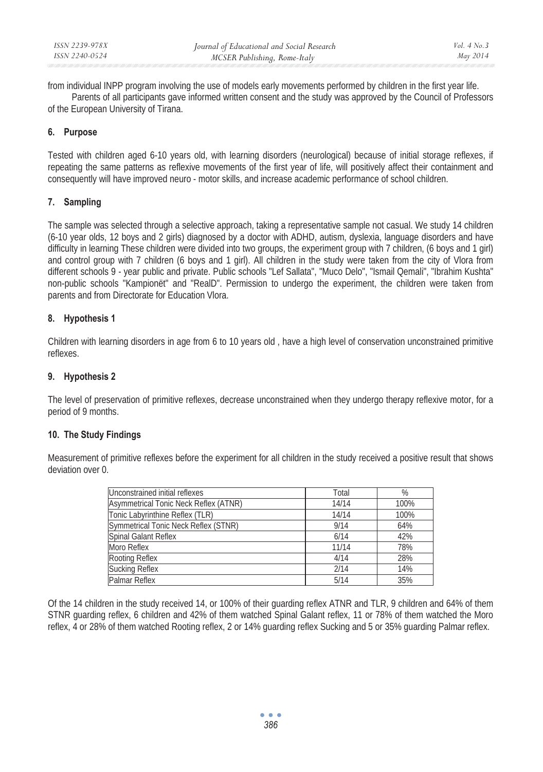from individual INPP program involving the use of models early movements performed by children in the first year life.

Parents of all participants gave informed written consent and the study was approved by the Council of Professors of the European University of Tirana.

# **6. Purpose**

Tested with children aged 6-10 years old, with learning disorders (neurological) because of initial storage reflexes, if repeating the same patterns as reflexive movements of the first year of life, will positively affect their containment and consequently will have improved neuro - motor skills, and increase academic performance of school children.

# **7. Sampling**

The sample was selected through a selective approach, taking a representative sample not casual. We study 14 children (6-10 year olds, 12 boys and 2 girls) diagnosed by a doctor with ADHD, autism, dyslexia, language disorders and have difficulty in learning These children were divided into two groups, the experiment group with 7 children, (6 boys and 1 girl) and control group with 7 children (6 boys and 1 girl). All children in the study were taken from the city of Vlora from different schools 9 - year public and private. Public schools "Lef Sallata", "Muco Delo", "Ismail Qemali", "Ibrahim Kushta" non-public schools "Kampionët" and "RealD". Permission to undergo the experiment, the children were taken from parents and from Directorate for Education Vlora.

# **8. Hypothesis 1**

Children with learning disorders in age from 6 to 10 years old , have a high level of conservation unconstrained primitive reflexes.

# **9. Hypothesis 2**

The level of preservation of primitive reflexes, decrease unconstrained when they undergo therapy reflexive motor, for a period of 9 months.

# **10. The Study Findings**

Measurement of primitive reflexes before the experiment for all children in the study received a positive result that shows deviation over 0.

| Unconstrained initial reflexes        | Total | %    |
|---------------------------------------|-------|------|
| Asymmetrical Tonic Neck Reflex (ATNR) | 14/14 | 100% |
| Tonic Labyrinthine Reflex (TLR)       | 14/14 | 100% |
| Symmetrical Tonic Neck Reflex (STNR)  | 9/14  | 64%  |
| Spinal Galant Reflex                  | 6/14  | 42%  |
| Moro Reflex                           | 11/14 | 78%  |
| Rooting Reflex                        | 4/14  | 28%  |
| <b>Sucking Reflex</b>                 | 2/14  | 14%  |
| Palmar Reflex                         | 5/14  | 35%  |

Of the 14 children in the study received 14, or 100% of their guarding reflex ATNR and TLR, 9 children and 64% of them STNR guarding reflex, 6 children and 42% of them watched Spinal Galant reflex, 11 or 78% of them watched the Moro reflex, 4 or 28% of them watched Rooting reflex, 2 or 14% guarding reflex Sucking and 5 or 35% guarding Palmar reflex.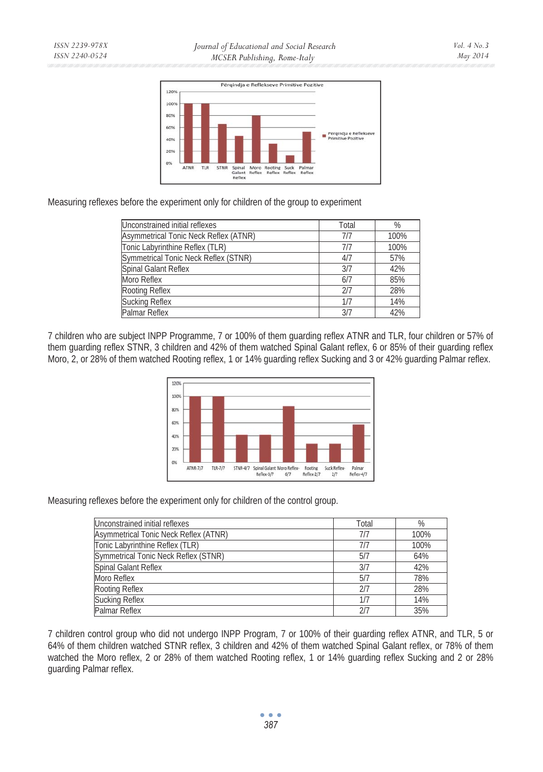

Measuring reflexes before the experiment only for children of the group to experiment

| Unconstrained initial reflexes        | Total | %    |
|---------------------------------------|-------|------|
| Asymmetrical Tonic Neck Reflex (ATNR) | 7/7   | 100% |
| Tonic Labyrinthine Reflex (TLR)       | 7/7   | 100% |
| Symmetrical Tonic Neck Reflex (STNR)  | 4/7   | 57%  |
| Spinal Galant Reflex                  | 3/7   | 42%  |
| Moro Reflex                           | 6/7   | 85%  |
| Rooting Reflex                        | 2/7   | 28%  |
| Sucking Reflex                        | 1/7   | 14%  |
| Palmar Reflex                         | 3/7   | 42%  |

7 children who are subject INPP Programme, 7 or 100% of them guarding reflex ATNR and TLR, four children or 57% of them guarding reflex STNR, 3 children and 42% of them watched Spinal Galant reflex, 6 or 85% of their guarding reflex Moro, 2, or 28% of them watched Rooting reflex, 1 or 14% guarding reflex Sucking and 3 or 42% guarding Palmar reflex.



Measuring reflexes before the experiment only for children of the control group.

| Unconstrained initial reflexes        | Total | %    |
|---------------------------------------|-------|------|
| Asymmetrical Tonic Neck Reflex (ATNR) | 717   | 100% |
| Tonic Labyrinthine Reflex (TLR)       | 7/7   | 100% |
| Symmetrical Tonic Neck Reflex (STNR)  | 5/7   | 64%  |
| Spinal Galant Reflex                  | 3/7   | 42%  |
| Moro Reflex                           | 5/7   | 78%  |
| Rooting Reflex                        | 2/7   | 28%  |
| <b>Sucking Reflex</b>                 |       | 14%  |
| Palmar Reflex                         |       | 35%  |

7 children control group who did not undergo INPP Program, 7 or 100% of their guarding reflex ATNR, and TLR, 5 or 64% of them children watched STNR reflex, 3 children and 42% of them watched Spinal Galant reflex, or 78% of them watched the Moro reflex, 2 or 28% of them watched Rooting reflex, 1 or 14% guarding reflex Sucking and 2 or 28% guarding Palmar reflex.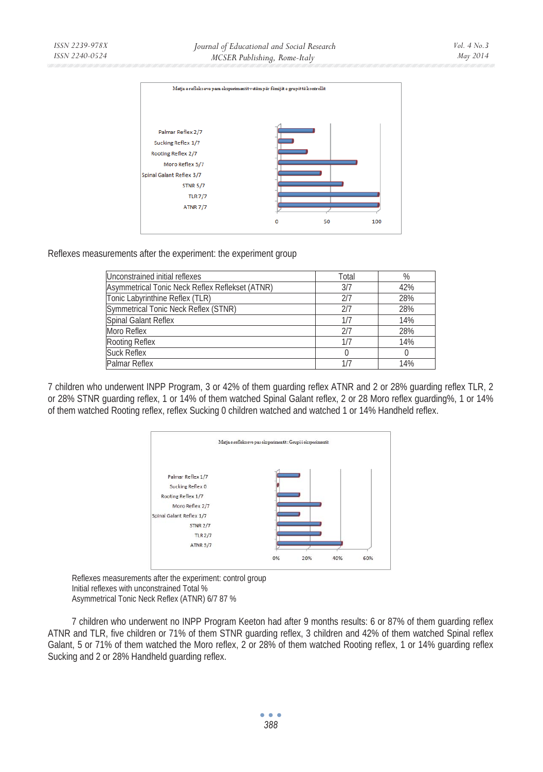

Reflexes measurements after the experiment: the experiment group

| Unconstrained initial reflexes                  | Total | %   |
|-------------------------------------------------|-------|-----|
| Asymmetrical Tonic Neck Reflex Reflekset (ATNR) | 3/7   | 42% |
| Tonic Labyrinthine Reflex (TLR)                 | 217   | 28% |
| Symmetrical Tonic Neck Reflex (STNR)            | 217   | 28% |
| Spinal Galant Reflex                            | 1/7   | 14% |
| Moro Reflex                                     | 217   | 28% |
| Rooting Reflex                                  | 1/7   | 14% |
| <b>Suck Reflex</b>                              |       |     |
| Palmar Reflex                                   |       | 14% |

7 children who underwent INPP Program, 3 or 42% of them guarding reflex ATNR and 2 or 28% guarding reflex TLR, 2 or 28% STNR guarding reflex, 1 or 14% of them watched Spinal Galant reflex, 2 or 28 Moro reflex guarding%, 1 or 14% of them watched Rooting reflex, reflex Sucking 0 children watched and watched 1 or 14% Handheld reflex.



Reflexes measurements after the experiment: control group Initial reflexes with unconstrained Total % Asymmetrical Tonic Neck Reflex (ATNR) 6/7 87 %

7 children who underwent no INPP Program Keeton had after 9 months results: 6 or 87% of them guarding reflex ATNR and TLR, five children or 71% of them STNR guarding reflex, 3 children and 42% of them watched Spinal reflex Galant, 5 or 71% of them watched the Moro reflex, 2 or 28% of them watched Rooting reflex, 1 or 14% guarding reflex Sucking and 2 or 28% Handheld guarding reflex.